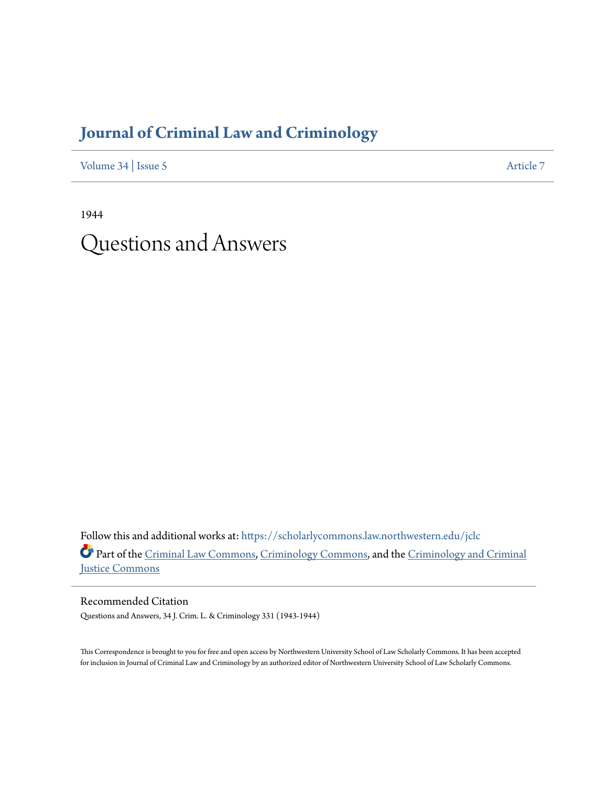# **[Journal of Criminal Law and Criminology](https://scholarlycommons.law.northwestern.edu/jclc?utm_source=scholarlycommons.law.northwestern.edu%2Fjclc%2Fvol34%2Fiss5%2F7&utm_medium=PDF&utm_campaign=PDFCoverPages)**

[Volume 34](https://scholarlycommons.law.northwestern.edu/jclc/vol34?utm_source=scholarlycommons.law.northwestern.edu%2Fjclc%2Fvol34%2Fiss5%2F7&utm_medium=PDF&utm_campaign=PDFCoverPages) | [Issue 5](https://scholarlycommons.law.northwestern.edu/jclc/vol34/iss5?utm_source=scholarlycommons.law.northwestern.edu%2Fjclc%2Fvol34%2Fiss5%2F7&utm_medium=PDF&utm_campaign=PDFCoverPages) [Article 7](https://scholarlycommons.law.northwestern.edu/jclc/vol34/iss5/7?utm_source=scholarlycommons.law.northwestern.edu%2Fjclc%2Fvol34%2Fiss5%2F7&utm_medium=PDF&utm_campaign=PDFCoverPages)

1944 Questions and Answers

Follow this and additional works at: [https://scholarlycommons.law.northwestern.edu/jclc](https://scholarlycommons.law.northwestern.edu/jclc?utm_source=scholarlycommons.law.northwestern.edu%2Fjclc%2Fvol34%2Fiss5%2F7&utm_medium=PDF&utm_campaign=PDFCoverPages) Part of the [Criminal Law Commons](http://network.bepress.com/hgg/discipline/912?utm_source=scholarlycommons.law.northwestern.edu%2Fjclc%2Fvol34%2Fiss5%2F7&utm_medium=PDF&utm_campaign=PDFCoverPages), [Criminology Commons](http://network.bepress.com/hgg/discipline/417?utm_source=scholarlycommons.law.northwestern.edu%2Fjclc%2Fvol34%2Fiss5%2F7&utm_medium=PDF&utm_campaign=PDFCoverPages), and the [Criminology and Criminal](http://network.bepress.com/hgg/discipline/367?utm_source=scholarlycommons.law.northwestern.edu%2Fjclc%2Fvol34%2Fiss5%2F7&utm_medium=PDF&utm_campaign=PDFCoverPages) [Justice Commons](http://network.bepress.com/hgg/discipline/367?utm_source=scholarlycommons.law.northwestern.edu%2Fjclc%2Fvol34%2Fiss5%2F7&utm_medium=PDF&utm_campaign=PDFCoverPages)

Recommended Citation Questions and Answers, 34 J. Crim. L. & Criminology 331 (1943-1944)

This Correspondence is brought to you for free and open access by Northwestern University School of Law Scholarly Commons. It has been accepted for inclusion in Journal of Criminal Law and Criminology by an authorized editor of Northwestern University School of Law Scholarly Commons.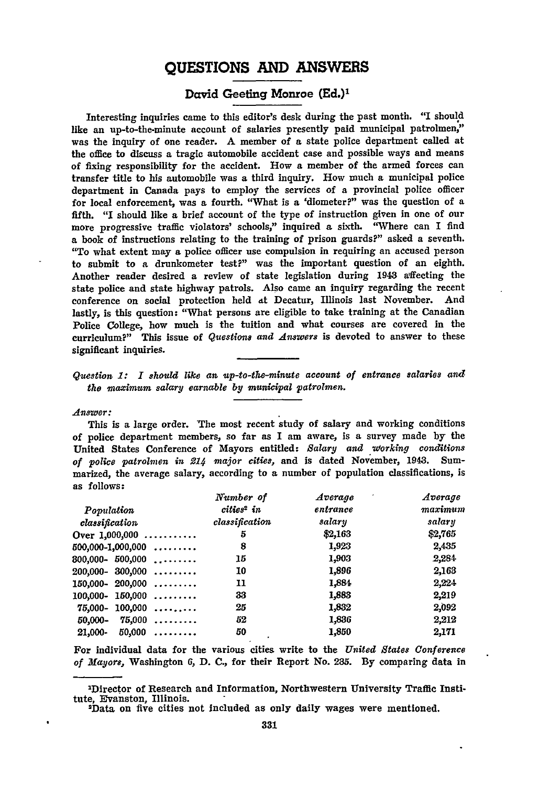## **QUESTIONS AND ANSWERS**

## David Geeting Monroe **(Ed.)'**

Interesting inquiries came to this editor's desk during the past month. "I should like an up-to-the-minute account of salaries presently paid municipal patrolmen," was the inquiry of one reader. A member of a state police department called at the office to discuss a tragic automobile accident case and possible ways and means of fixing responsibility for the accident. How a member of the armed forces can transfer title to his automobile was a third inquiry. How much a municipal police department in Canada pays to employ the services of a provincial police officer for local enforcement, was a fourth. "What is a 'diometer?" was the question of a fifth. "I should like a brief account of the type of instruction given in one of our more progressive traffic violators' schools," inquired a sixth. "'Where can I find a book of instructions relating to the training of prison guards?" asked a seventh. "To what extent may a police officer use compulsion in requiring an accused person to submit to a drunkometer test?" was the important question of an eighth. Another reader desired a review of state legislation during 1943 affecting the state police and state highway patrols. Also came an inquiry regarding the recent conference on social protection held **At** Decatur, Illinois last November. And lastly, is this question: "What persons are eligible to take training at the Canadian Police College, how much is the tuition and what courses are covered in the curriculum?" This issue of *Questions and Answers* is devoted to answer to these significant inquiries.

*Question 1: I should like an up-to-the--minute account of entrance salaries and the maximum salary earnable by municipal patrolmen.*

*Answer:*

This is a large order. The most recent study of salary and working conditions of police department members, so far as I am aware, is a survey made **by** the United States Conference of Mayors entitled: *Salary and working conditions* of police patrolmen in 214 major cities, and is dated November, 1943. Summarized, the average salary, according to a number of population classifications, is as follows:

|                       | Number of              | Average  | Average |
|-----------------------|------------------------|----------|---------|
| Population            | cities <sup>2</sup> in | entrance | maximum |
| classification        | classification         | salary   | salary  |
| Over $1,000,000$      | 5                      | \$2,163  | \$2,765 |
| $500,000-1,000,000$   | 8                      | 1,923    | 2,435   |
| $800,000 - 500,000$ , | 15                     | 1,903    | 2,284   |
| $200,000 - 300,000$   | 10                     | 1,896    | 2,163   |
| $150,000 - 200,000$   | 11                     | 1.884    | 2,224   |
| $100,000 - 150,000$   | 33                     | 1,883    | 2,219   |
| $75,000 - 100,000$    | 25                     | 1,832    | 2,092   |
| $50,000 - 75,000$     | 52                     | 1,836    | 2,212   |
| $50,000$<br>21,000-   | 50                     | 1,850    | 2,171   |

For individual data for the various cities write to the *United States Conference of Mayors,* Washington 6, **D. C.,** for their Report No. 235. By comparing data in

<sup>2</sup>Dlrector of Research and Information, Northwestern University Traffic Institute, Evanston, Illinois.

<sup>2</sup>Data on five cities not Included as only daily wages were mentioned.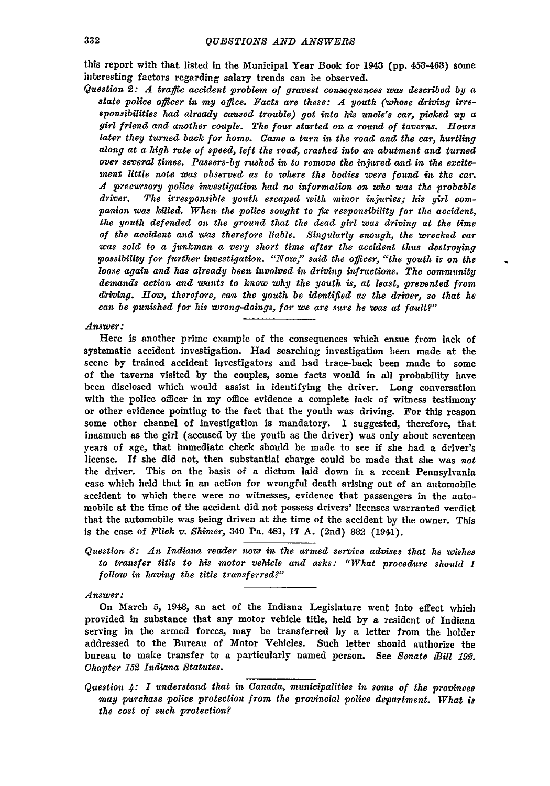this report with that listed in the Municipal Year Book for 1943 (pp. 453-463) some interesting factors regarding salary trends can be observed.

*Question* 2: 4 *traffic accident problem of gravest consequences was described by a state police officer in my office. Facts are these: A youth (whose driving irresponsibilities had already caused trouble) got into his uncle's car, picked up a girl friend and another couple. The four started on a round of taverns. Hours later they turned back for home. Came a turn in the road and the car, hurtling along at a high rate of speed, left the road, crashed into an abutment and turned over several times. Passers-by rushed in to remove the injured and in the excitement little note was observed as to where the bodies were found in the car. A precursory police investigation had no information on who was the probable driver. The irresponsible youth escaped with minor injuries; his girl companion was killed. When. the police sought to fix responsibility for the accident, the youth defended on the ground that the dead girl was driving at the time of the accident and Was therefore liable. Singularly enough, the wrecked car was sold to a junkman a very short time after the accident thus destroying possibility for further investigation. "Now," said the officer, "the youth is on the loose again and has already been involved in driving infractions. The community demands action and wants to know why the youth is, at least, prevented from d-riving. How, therefore, can the youth be identified as the driver, so that he can be punished for his wrong-doings, for we are sure he was at fault?"*

#### *Answer:*

Here is another prime example of the consequences which ensue from lack of systematic accident investigation. Had searching investigation been made at the scene by trained accident investigators and had trace-back been made to some of the taverns visited by the couples, some facts would in all probability have been disclosed which would assist in identifying the driver. Long conversation with the police officer in my office evidence a complete lack of witness testimony or other evidence pointing to the fact that the youth was driving. For this reason some other channel of investigation is mandatory. I suggested, therefore, that inasmuch as the girl (accused by the youth as the driver) was only about seventeen years of age, that immediate check should be made to see if she had a driver's license. If she did not, then substantial charge could be made that she was *not* the driver. This on the basis of a dictum laid down in a recent Pennsylvania case which held that in an action for wrongful death arising out of an automobile accident to which there were no witnesses, evidence that passengers in the automobile at the time of the accident did not possess drivers' licenses warranted verdict that the automobile was being driven at the time of the accident by the owner. This is the case of *Flick v. Shimer,* 340 Pa. 481, **17** A. (2nd) **332** (1941).

## *Question 3: An Indiana reader now in the armed service advises that he wishes to transfer title to his motor vehicle and asks: "What procedure should I follow in having the title transferred?"*

#### *Answer:*

On March **5,** 1943, an act of the Indiana Legislature went into effect which provided in substance that any motor vehicle title, held by a resident of Indiana serving in the armed forces, may be transferred by a letter from the holder addressed to the Bureau of Motor Vehicles. Such letter should authorize the bureau to make transfer to a particularly named person. See *Senate iBill* **192.** *Chapter 152 Indiana Statutes.*

*Question 4: 1 understand that in Canada, municipalities in some of the provinces may purchase police protection from the provincial police department. What is the cost of such protection?*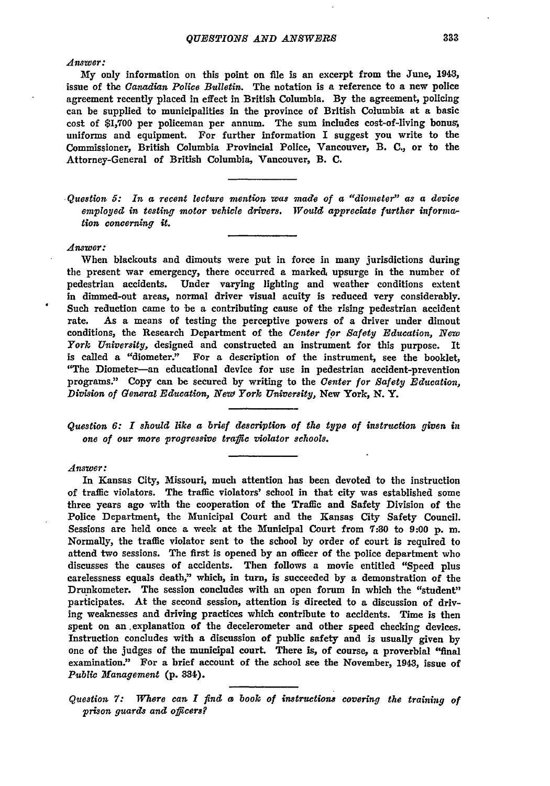## *Answer:*

My only information on this point on file is an excerpt from the June, 1943, issue of the *Canadian Police Bulletin.* The notation is a reference to a new police agreement recently placed in effect in British Columbia. **By** the agreement, policing can be supplied to municipalities in the province of British Columbia at a basic cost of **\$1,700** per policeman per annum. The sum includes cost-of-living bonus, uniforms and equipment. For further information I suggest you write to the Commissioner, British Columbia Provincial Police, Vancouver, B. **C.,** or to the Attorney-General of British Columbia, Vancouver, B. **C.**

*Question 5: In a recent lecture mention was made of a "diometer" as a device employed in testing motor vehicle drivers. Would appreciate further information concerning it.*

#### *Answer:*

When blackouts and dimouts were put in force in many jurisdictions during the present war emergency, there occurred a marked, upsurge in the number of pedestrian accidents. Under varying lighting and weather conditions extent in dimmed-out areas, normal driver visual acuity is reduced very considerably. Such reduction came to be a contributing cause of the rising pedestrian accident rate. As a means of testing the perceptive powers of a driver under dimout conditions, the Research Department of the *Center* f9r *Safety Education,* **Now** *York University,* designed and constructed an instrument for this purpose. It is called a "diometer." For a description of the instrument, see the booklet, "The Diometer-an educational device for use in pedestrian accident-prevention programs." Copy can be secured **by** writing to the *Center for Safety Education, Division of General Education, New York University,* New York, **N.** Y.

## *Question 6: I should like a brief description of the type of instruction given in one of our more progressive traffic violator schools.*

#### *Answer:*

In Kansas City, Missouri, much attention has been devoted to the instruction of traffic violators. The traffic violators' school in that city was established some three years ago with the cooperation of the Traffic and Safety Division of the Police Department, the Municipal Court and the Kansas City Safety Council. Sessions are held once a week at the Municipal Court from **7:30** to **9:00 p.** m. Normally, the traffic violator sent to the school **by** order of court is required to attend two sessions. The first is opened **by** an officer of the police department who discusses the causes of accidents. Then follows a movie entitled "Speed plus carelessness equals death," which, in turn, is succeeded **by** a demonstration of the Drunkometer. The session concludes with an open forum in which the "student" participates. At the second session, attention is directed to a discussion of driving weaknesses and driving practices which contribute to accidents. Time is then spent on an .explanation of the decelerometer and other speed checking devices. Instruction concludes with a discussion of public safety and is usually given **by** one of the judges of the municipal court. There is, of course, a proverbial "final examination." For a brief account of the school see the November, 1943, issue of *Public Management* **(p. 334).**

*Question 7: Where can I find* **a** *book of instructions covering the training of prison guards and officers?*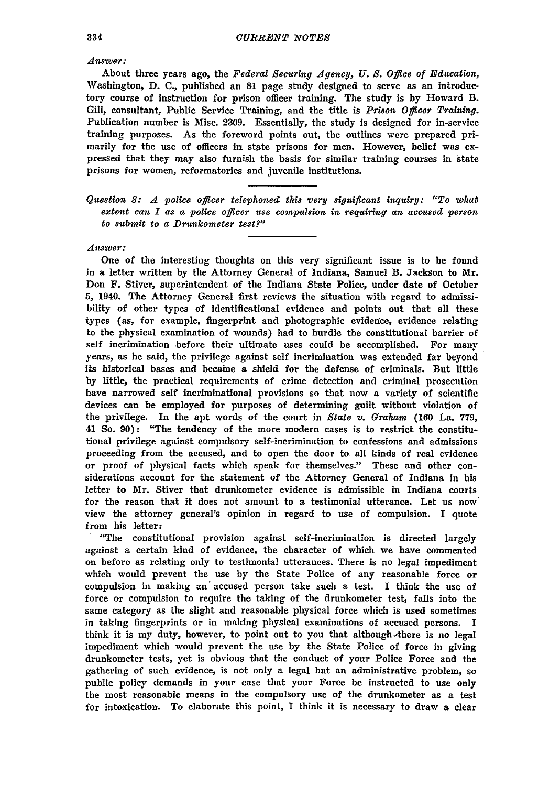*Answer:*

About three years ago, the *Federal Securing Agency, U. S. Office of Education,* Washington, **D. C.,** published an **81** page study designed to serve as an introductory course of instruction for prison officer training. The study is **by** Howard B. Gill, consultant, Public Service Training, and the title is *Prison Officer Training.* Publication number is Misc. **2309.** Essentially, the study is designed for in-service training purposes. As the foreword points out, the outlines were prepared primarily for the use of officers in state prisons for men. However, belief was expressed that they may also furnish the basis for similar training courses in state prisons for women, reformatories and juvenile institutions.

*Question 8: A police officer telephoned this very significant inquiry: "To what extent can I as a police officer use compulsion in requiring an accused person to submit to a Drunkometer test?"*

#### *Answer:*

One of the interesting thoughts on this very significant issue is to be found in a letter written by the Attorney General of Indiana, Samuel B. Jackson to Mr. Don F. Stiver, superintendent of the Indiana State Police, under date of October **5,** 1940. The Attorney General first reviews the situation with regard to admissibility of other types **of** identificational evidence and points out that all these types (as, for example, fingerprint and photographic evidence, evidence relating to the physical examination of wounds) had to hurdle the constitutional barrier of self incrimination before their ultimate uses could be accomplished. For many years, as he said, the privilege against self incrimination was extended far beyond its historical bases and becaine a shield for the defense of criminals. But little by little, the practical requirements of crime detection and criminal prosecution have narrowed self incriminational provisions so that now a variety of scientific devices can be employed for purposes of determining guilt without violation of the privilege. In the apt words of the court in *State v. Graham* (160 La. 779, *4,1* So. 90): "The tendency of the more modern cases is to restrict the constitutional privilege against compulsory self-incrimination to confessions and admissions proceeding from the accused, and to open the door to. all kinds of real evidence or proof of physical facts which speak for themselves." These and other considerations account for the statement of the Attorney General of Indiana in his letter to Mr. Stiver that drunkometer evidence is admissible in Indiana courts for the reason that it does not amount to a testimonial utterance. Let us now' view the attorney general's opinion in regard to use of compulsion. I quote from his letter: "The constitutional provision against self-incrimination is directed largely

against a certain kind of evidence, the character of which we have commented on before as relating only to testimonial utterances. There is no legal impediment which would prevent the use **by** the State Police of any reasonable force or compulsion in making **an"** accused person take such a test. I think the use of force or compulsion to require the taking of the drunkometer test, falls into the same category as the slight and reasonable physical force which is used sometimes in taking fingerprints or in making physical examinations of accused persons. **I** think it is my duty, however, to point out to you that although Ahere is no legal impediment which would prevent the use **by** the State Police of force in giving drunkometer tests, yet is obvious that the conduct of your Police Force and the gathering of such evidence, is not only a legal but an administrative problem, so public policy demands in your case that your Force be instructed to use only the most reasonable means in the compulsory use of the drunkometer as a test for intoxication. To elaborate this point, I think it is necessary to draw a clear

334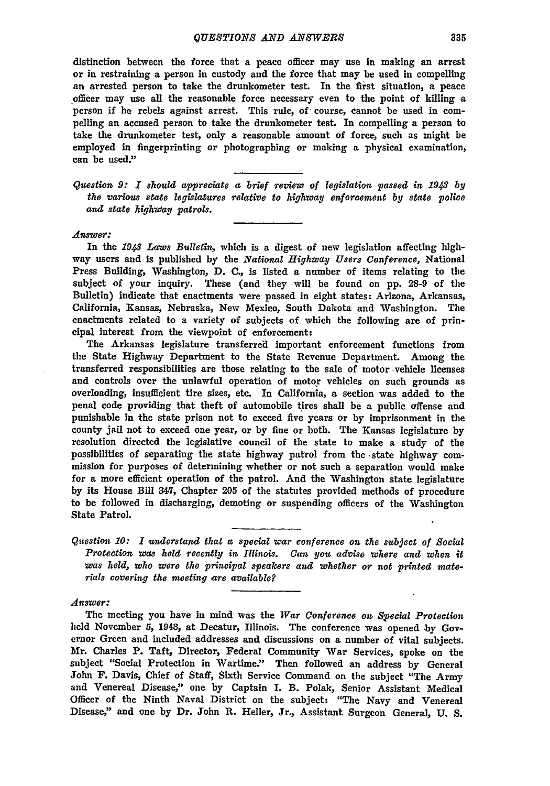distinction between the force that a peace officer may use in making an arrest or in restraining a person in custody and the force that may be used in compelling an arrested person to take the drunkometer test. In the first situation, a peace officer may use all the reasonable force necessary even to the point of killing a person **if** he rebels against arrest. This rule, of course, cannot be used in compelling an accused person to take the drunkometer test. In compelling a person to take the drunkometer test, only a reasonable amount of force, such as might be employed in fingerprinting or photographing or making a physical examination, can be used."

*Question 9: 1 should appreciate a brief review of legislation passed in 1943 by the various state legislatures relative to highway enforcement by state police and state highway patrols.*

#### *Answer:*

In the *1943 Laws Bulletin,* which is a digest of new legislation affecting highway users and is published by the *National Highway Users Conference,* National Press Building, Washington, D. C., is listed a number of items relating to the subject of your inquiry. These (and they will be found on pp. 28-9 of the Bulletin) indicate that enactments were passed in eight states: Arizona, Arkansas, California, Kansas, Nebraska, New Mexico, South Dakota and Washington. The enactments related to a variety of subjects of which the following are of principal interest from the viewpoint of enforcement:

The Arkansas legislature transferred important enforcement functions from the State Highway Department to the State Revenue Department. Among the transferred responsibilities are those relating to the sale of motor vehicle licenses and controls over the unlawful operation of motor vehicles on such grounds as overloading, insufficient tire sizes, etc. In California, a section was added to the penal code providing that theft of automobile tires shall be a public offense and punishable in the state prison not to exceed five years or **by** imprisonment in the county jail not to exceed one year, or **by** fine or both. The Kansas legislature **by** resolution directed the legislative council of the state to make a study of the possibilities of separating the state highway patrol from the -state highway commission for purposes of determining whether or not such a separation would make for a more efficient operation of the patrol. And the Washington state legislature **by** its House Bill *847,* Chapter **205** of the statutes provided methods of procedure to be followed in discharging, demoting or suspending officers of the Washington State Patrol.

*Question 10: I understand that a special war conference on the subject of Social Protection was held recently in Illinois. Can you advise where and when it was held, who were the principal speakers and whether or not printed materials covering the meeting are available?*

*Answer:*

The meeting you have in mind was the *War Conference on Special Protection* held November 5, 1943, at Decatur, Illinois. The conference was opened by Governor Green and included addresses and discussions on a number of vital subjects. Mr. Charles P. Taft, Director, Federal Community War Services, spoke on the subject "Social Protection in Wartime." Then followed an address by General John F. Davis, Chief of Staff, Sixth Service Command on the subject "The Army and Venereal Disease," one **by** Captain I. B. Polak, Senior Assistant Medical Officer of the Ninth Naval District on the subject: "The Navy and Venereal Disease," and one **by** Dr. John R. Heller, Jr., Assistant Surgeon General, **U. S.**